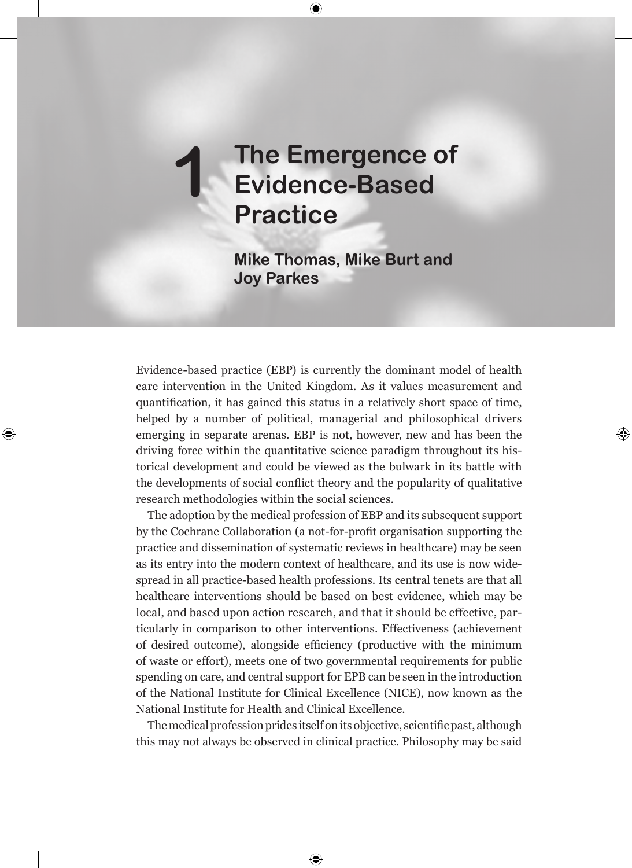$\bigoplus$ 

**Mike Thomas, Mike Burt and Joy Parkes**

Evidence-based practice (EBP) is currently the dominant model of health care intervention in the United Kingdom. As it values measurement and quantification, it has gained this status in a relatively short space of time, helped by a number of political, managerial and philosophical drivers emerging in separate arenas. EBP is not, however, new and has been the driving force within the quantitative science paradigm throughout its historical development and could be viewed as the bulwark in its battle with the developments of social conflict theory and the popularity of qualitative research methodologies within the social sciences.

⊕

⊕

The adoption by the medical profession of EBP and its subsequent support by the Cochrane Collaboration (a not-for-profit organisation supporting the practice and dissemination of systematic reviews in healthcare) may be seen as its entry into the modern context of healthcare, and its use is now widespread in all practice-based health professions. Its central tenets are that all healthcare interventions should be based on best evidence, which may be local, and based upon action research, and that it should be effective, particularly in comparison to other interventions. Effectiveness (achievement of desired outcome), alongside efficiency (productive with the minimum of waste or effort), meets one of two governmental requirements for public spending on care, and central support for EPB can be seen in the introduction of the National Institute for Clinical Excellence (NICE), now known as the National Institute for Health and Clinical Excellence.

The medical profession prides itself on its objective, scientific past, although this may not always be observed in clinical practice. Philosophy may be said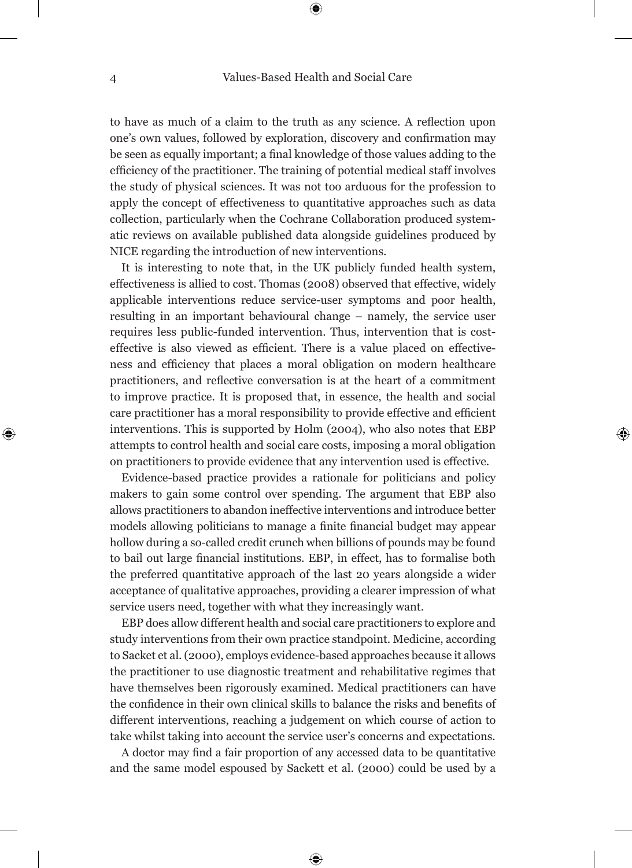to have as much of a claim to the truth as any science. A reflection upon one's own values, followed by exploration, discovery and confirmation may be seen as equally important; a final knowledge of those values adding to the efficiency of the practitioner. The training of potential medical staff involves the study of physical sciences. It was not too arduous for the profession to apply the concept of effectiveness to quantitative approaches such as data collection, particularly when the Cochrane Collaboration produced systematic reviews on available published data alongside guidelines produced by NICE regarding the introduction of new interventions.

It is interesting to note that, in the UK publicly funded health system, effectiveness is allied to cost. Thomas (2008) observed that effective, widely applicable interventions reduce service-user symptoms and poor health, resulting in an important behavioural change – namely, the service user requires less public-funded intervention. Thus, intervention that is costeffective is also viewed as efficient. There is a value placed on effectiveness and efficiency that places a moral obligation on modern healthcare practitioners, and reflective conversation is at the heart of a commitment to improve practice. It is proposed that, in essence, the health and social care practitioner has a moral responsibility to provide effective and efficient interventions. This is supported by Holm (2004), who also notes that EBP attempts to control health and social care costs, imposing a moral obligation on practitioners to provide evidence that any intervention used is effective.

⊕

Evidence-based practice provides a rationale for politicians and policy makers to gain some control over spending. The argument that EBP also allows practitioners to abandon ineffective interventions and introduce better models allowing politicians to manage a finite financial budget may appear hollow during a so-called credit crunch when billions of pounds may be found to bail out large financial institutions. EBP, in effect, has to formalise both the preferred quantitative approach of the last 20 years alongside a wider acceptance of qualitative approaches, providing a clearer impression of what service users need, together with what they increasingly want.

EBP does allow different health and social care practitioners to explore and study interventions from their own practice standpoint. Medicine, according to Sacket et al. (2000), employs evidence-based approaches because it allows the practitioner to use diagnostic treatment and rehabilitative regimes that have themselves been rigorously examined. Medical practitioners can have the confidence in their own clinical skills to balance the risks and benefits of different interventions, reaching a judgement on which course of action to take whilst taking into account the service user's concerns and expectations.

A doctor may find a fair proportion of any accessed data to be quantitative and the same model espoused by Sackett et al. (2000) could be used by a

⊕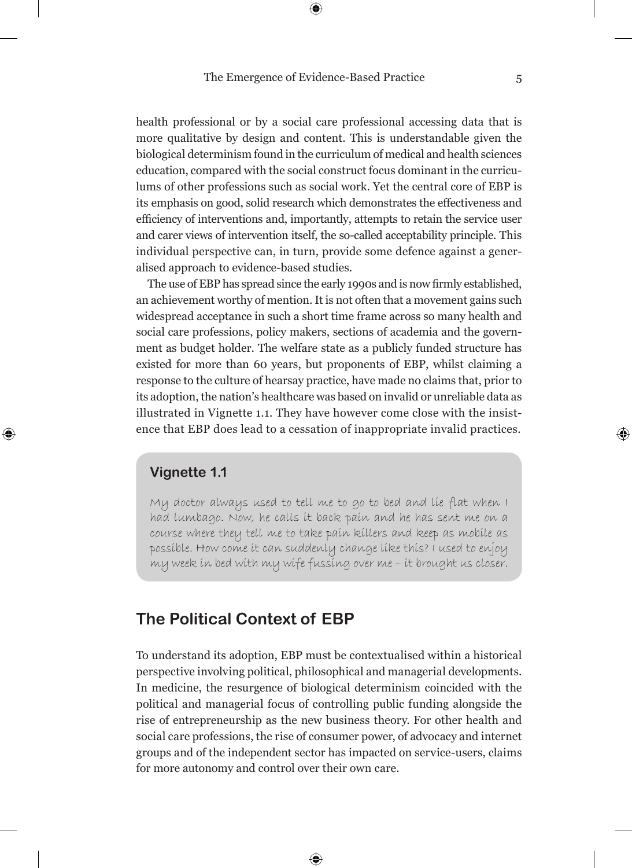⊕

health professional or by a social care professional accessing data that is more qualitative by design and content. This is understandable given the biological determinism found in the curriculum of medical and health sciences education, compared with the social construct focus dominant in the curriculums of other professions such as social work. Yet the central core of EBP is its emphasis on good, solid research which demonstrates the effectiveness and efficiency of interventions and, importantly, attempts to retain the service user and carer views of intervention itself, the so-called acceptability principle. This individual perspective can, in turn, provide some defence against a generalised approach to evidence-based studies.

The use of EBP has spread since the early 1990s and is now firmly established, an achievement worthy of mention. It is not often that a movement gains such widespread acceptance in such a short time frame across so many health and social care professions, policy makers, sections of academia and the government as budget holder. The welfare state as a publicly funded structure has existed for more than 60 years, but proponents of EBP, whilst claiming a response to the culture of hearsay practice, have made no claims that, prior to its adoption, the nation's healthcare was based on invalid or unreliable data as illustrated in Vignette 1.1. They have however come close with the insistence that EBP does lead to a cessation of inappropriate invalid practices.

# **Vignette 1.1**

♠

My doctor always used to tell me to go to bed and lie flat when I had lumbago. Now, he calls it back pain and he has sent me on a course where they tell me to take pain killers and keep as mobile as possible. How come it can suddenly change like this? I used to enjoy my week in bed with my wife fussing over me – it brought us closer.

# **The Political Context of EBP**

To understand its adoption, EBP must be contextualised within a historical perspective involving political, philosophical and managerial developments. In medicine, the resurgence of biological determinism coincided with the political and managerial focus of controlling public funding alongside the rise of entrepreneurship as the new business theory. For other health and social care professions, the rise of consumer power, of advocacy and internet groups and of the independent sector has impacted on service-users, claims for more autonomy and control over their own care.

♠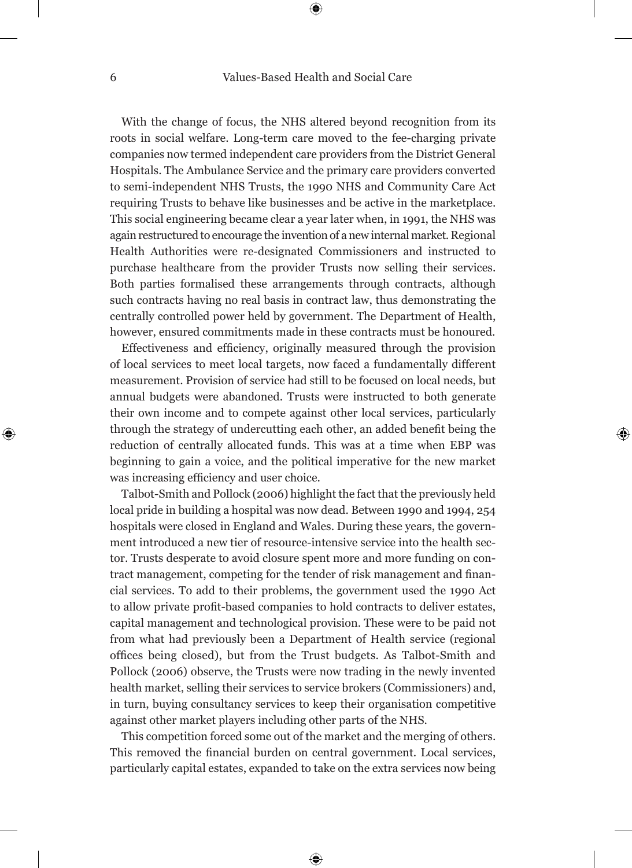$\bigoplus$ 

With the change of focus, the NHS altered beyond recognition from its roots in social welfare. Long-term care moved to the fee-charging private companies now termed independent care providers from the District General Hospitals. The Ambulance Service and the primary care providers converted to semi-independent NHS Trusts, the 1990 NHS and Community Care Act requiring Trusts to behave like businesses and be active in the marketplace. This social engineering became clear a year later when, in 1991, the NHS was again restructured to encourage the invention of a new internal market. Regional Health Authorities were re-designated Commissioners and instructed to purchase healthcare from the provider Trusts now selling their services. Both parties formalised these arrangements through contracts, although such contracts having no real basis in contract law, thus demonstrating the centrally controlled power held by government. The Department of Health, however, ensured commitments made in these contracts must be honoured.

Effectiveness and efficiency, originally measured through the provision of local services to meet local targets, now faced a fundamentally different measurement. Provision of service had still to be focused on local needs, but annual budgets were abandoned. Trusts were instructed to both generate their own income and to compete against other local services, particularly through the strategy of undercutting each other, an added benefit being the reduction of centrally allocated funds. This was at a time when EBP was beginning to gain a voice, and the political imperative for the new market was increasing efficiency and user choice.

⊕

Talbot-Smith and Pollock (2006) highlight the fact that the previously held local pride in building a hospital was now dead. Between 1990 and 1994, 254 hospitals were closed in England and Wales. During these years, the government introduced a new tier of resource-intensive service into the health sector. Trusts desperate to avoid closure spent more and more funding on contract management, competing for the tender of risk management and financial services. To add to their problems, the government used the 1990 Act to allow private profit-based companies to hold contracts to deliver estates, capital management and technological provision. These were to be paid not from what had previously been a Department of Health service (regional offices being closed), but from the Trust budgets. As Talbot-Smith and Pollock (2006) observe, the Trusts were now trading in the newly invented health market, selling their services to service brokers (Commissioners) and, in turn, buying consultancy services to keep their organisation competitive against other market players including other parts of the NHS.

This competition forced some out of the market and the merging of others. This removed the financial burden on central government. Local services, particularly capital estates, expanded to take on the extra services now being

⊕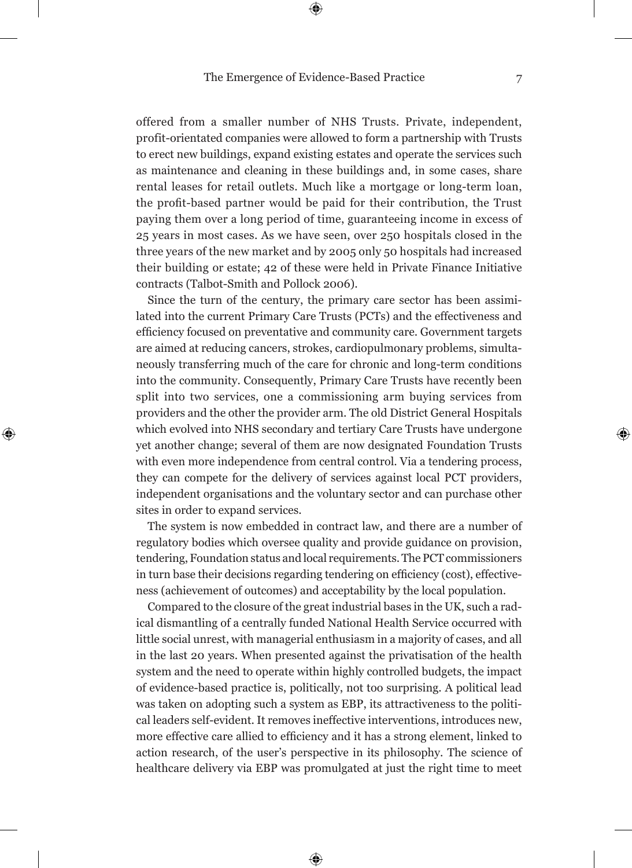$\bigoplus$ 

offered from a smaller number of NHS Trusts. Private, independent, profit-orientated companies were allowed to form a partnership with Trusts to erect new buildings, expand existing estates and operate the services such as maintenance and cleaning in these buildings and, in some cases, share rental leases for retail outlets. Much like a mortgage or long-term loan, the profit-based partner would be paid for their contribution, the Trust paying them over a long period of time, guaranteeing income in excess of 25 years in most cases. As we have seen, over 250 hospitals closed in the three years of the new market and by 2005 only 50 hospitals had increased their building or estate; 42 of these were held in Private Finance Initiative contracts (Talbot-Smith and Pollock 2006).

Since the turn of the century, the primary care sector has been assimilated into the current Primary Care Trusts (PCTs) and the effectiveness and efficiency focused on preventative and community care. Government targets are aimed at reducing cancers, strokes, cardiopulmonary problems, simultaneously transferring much of the care for chronic and long-term conditions into the community. Consequently, Primary Care Trusts have recently been split into two services, one a commissioning arm buying services from providers and the other the provider arm. The old District General Hospitals which evolved into NHS secondary and tertiary Care Trusts have undergone yet another change; several of them are now designated Foundation Trusts with even more independence from central control. Via a tendering process, they can compete for the delivery of services against local PCT providers, independent organisations and the voluntary sector and can purchase other sites in order to expand services.

♠

The system is now embedded in contract law, and there are a number of regulatory bodies which oversee quality and provide guidance on provision, tendering, Foundation status and local requirements. The PCT commissioners in turn base their decisions regarding tendering on efficiency (cost), effectiveness (achievement of outcomes) and acceptability by the local population.

Compared to the closure of the great industrial bases in the UK, such a radical dismantling of a centrally funded National Health Service occurred with little social unrest, with managerial enthusiasm in a majority of cases, and all in the last 20 years. When presented against the privatisation of the health system and the need to operate within highly controlled budgets, the impact of evidence-based practice is, politically, not too surprising. A political lead was taken on adopting such a system as EBP, its attractiveness to the political leaders self-evident. It removes ineffective interventions, introduces new, more effective care allied to efficiency and it has a strong element, linked to action research, of the user's perspective in its philosophy. The science of healthcare delivery via EBP was promulgated at just the right time to meet

⊕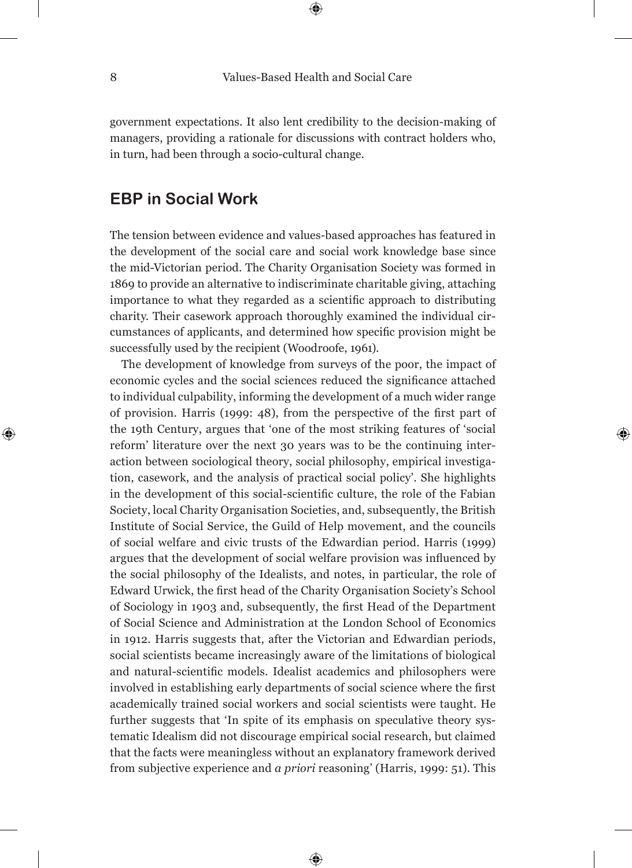$\bigoplus$ 

government expectations. It also lent credibility to the decision-making of managers, providing a rationale for discussions with contract holders who, in turn, had been through a socio-cultural change.

# **EBP in Social Work**

The tension between evidence and values-based approaches has featured in the development of the social care and social work knowledge base since the mid-Victorian period. The Charity Organisation Society was formed in 1869 to provide an alternative to indiscriminate charitable giving, attaching importance to what they regarded as a scientific approach to distributing charity. Their casework approach thoroughly examined the individual circumstances of applicants, and determined how specific provision might be successfully used by the recipient (Woodroofe, 1961).

The development of knowledge from surveys of the poor, the impact of economic cycles and the social sciences reduced the significance attached to individual culpability, informing the development of a much wider range of provision. Harris (1999: 48), from the perspective of the first part of the 19th Century, argues that 'one of the most striking features of 'social reform' literature over the next 30 years was to be the continuing interaction between sociological theory, social philosophy, empirical investigation, casework, and the analysis of practical social policy'. She highlights in the development of this social-scientific culture, the role of the Fabian Society, local Charity Organisation Societies, and, subsequently, the British Institute of Social Service, the Guild of Help movement, and the councils of social welfare and civic trusts of the Edwardian period. Harris (1999) argues that the development of social welfare provision was influenced by the social philosophy of the Idealists, and notes, in particular, the role of Edward Urwick, the first head of the Charity Organisation Society's School of Sociology in 1903 and, subsequently, the first Head of the Department of Social Science and Administration at the London School of Economics in 1912. Harris suggests that, after the Victorian and Edwardian periods, social scientists became increasingly aware of the limitations of biological and natural-scientific models. Idealist academics and philosophers were involved in establishing early departments of social science where the first academically trained social workers and social scientists were taught. He further suggests that 'In spite of its emphasis on speculative theory systematic Idealism did not discourage empirical social research, but claimed that the facts were meaningless without an explanatory framework derived from subjective experience and *a priori* reasoning' (Harris, 1999: 51). This

⊕

⊕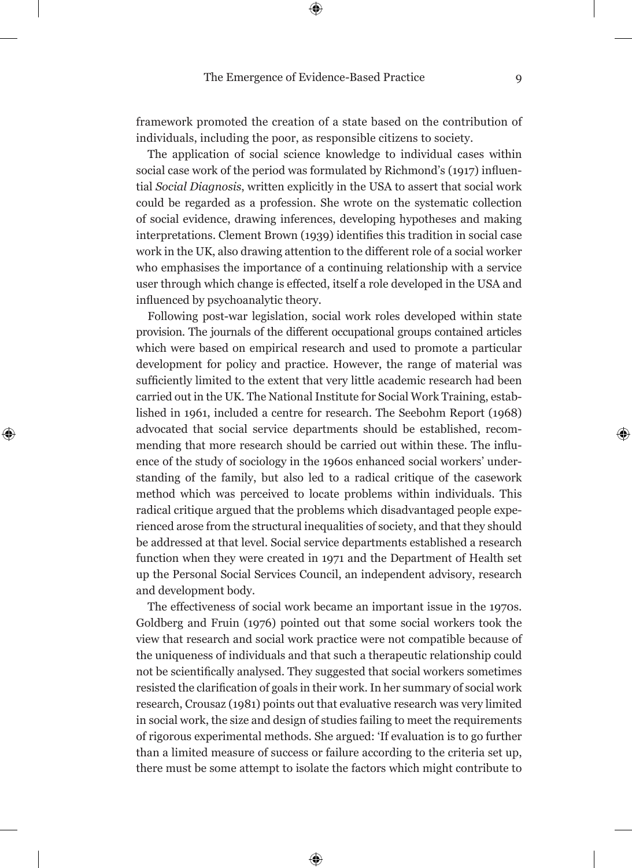⊕

framework promoted the creation of a state based on the contribution of individuals, including the poor, as responsible citizens to society.

The application of social science knowledge to individual cases within social case work of the period was formulated by Richmond's (1917) influential *Social Diagnosis*, written explicitly in the USA to assert that social work could be regarded as a profession. She wrote on the systematic collection of social evidence, drawing inferences, developing hypotheses and making interpretations. Clement Brown (1939) identifies this tradition in social case work in the UK, also drawing attention to the different role of a social worker who emphasises the importance of a continuing relationship with a service user through which change is effected, itself a role developed in the USA and influenced by psychoanalytic theory.

Following post-war legislation, social work roles developed within state provision. The journals of the different occupational groups contained articles which were based on empirical research and used to promote a particular development for policy and practice. However, the range of material was sufficiently limited to the extent that very little academic research had been carried out in the UK. The National Institute for Social Work Training, established in 1961, included a centre for research. The Seebohm Report (1968) advocated that social service departments should be established, recommending that more research should be carried out within these. The influence of the study of sociology in the 1960s enhanced social workers' understanding of the family, but also led to a radical critique of the casework method which was perceived to locate problems within individuals. This radical critique argued that the problems which disadvantaged people experienced arose from the structural inequalities of society, and that they should be addressed at that level. Social service departments established a research function when they were created in 1971 and the Department of Health set up the Personal Social Services Council, an independent advisory, research and development body.

⊕

The effectiveness of social work became an important issue in the 1970s. Goldberg and Fruin (1976) pointed out that some social workers took the view that research and social work practice were not compatible because of the uniqueness of individuals and that such a therapeutic relationship could not be scientifically analysed. They suggested that social workers sometimes resisted the clarification of goals in their work. In her summary of social work research, Crousaz (1981) points out that evaluative research was very limited in social work, the size and design of studies failing to meet the requirements of rigorous experimental methods. She argued: 'If evaluation is to go further than a limited measure of success or failure according to the criteria set up, there must be some attempt to isolate the factors which might contribute to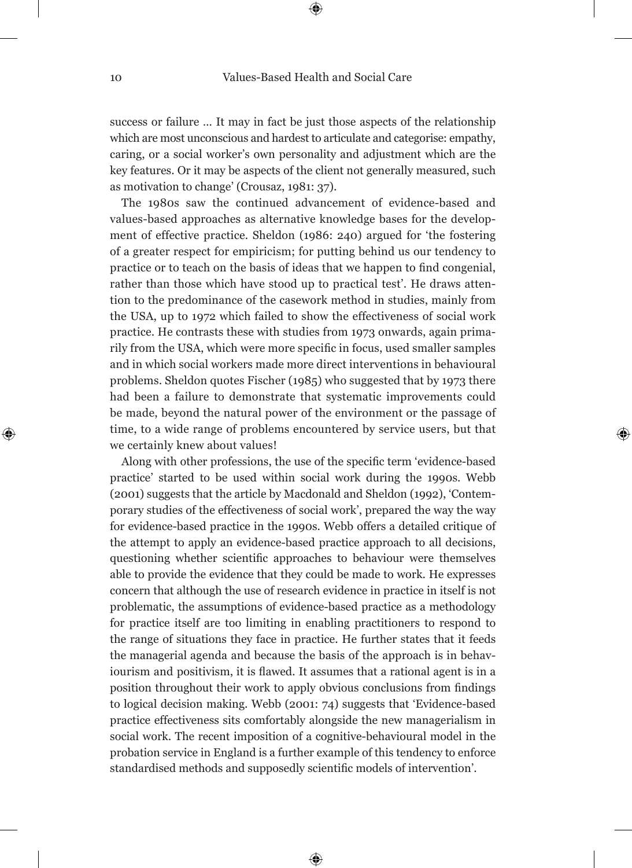success or failure … It may in fact be just those aspects of the relationship which are most unconscious and hardest to articulate and categorise: empathy, caring, or a social worker's own personality and adjustment which are the key features. Or it may be aspects of the client not generally measured, such as motivation to change' (Crousaz, 1981: 37).

The 1980s saw the continued advancement of evidence-based and values-based approaches as alternative knowledge bases for the development of effective practice. Sheldon (1986: 240) argued for 'the fostering of a greater respect for empiricism; for putting behind us our tendency to practice or to teach on the basis of ideas that we happen to find congenial, rather than those which have stood up to practical test'. He draws attention to the predominance of the casework method in studies, mainly from the USA, up to 1972 which failed to show the effectiveness of social work practice. He contrasts these with studies from 1973 onwards, again primarily from the USA, which were more specific in focus, used smaller samples and in which social workers made more direct interventions in behavioural problems. Sheldon quotes Fischer (1985) who suggested that by 1973 there had been a failure to demonstrate that systematic improvements could be made, beyond the natural power of the environment or the passage of time, to a wide range of problems encountered by service users, but that we certainly knew about values!

⊕

Along with other professions, the use of the specific term 'evidence-based practice' started to be used within social work during the 1990s. Webb (2001) suggests that the article by Macdonald and Sheldon (1992), 'Contemporary studies of the effectiveness of social work', prepared the way the way for evidence-based practice in the 1990s. Webb offers a detailed critique of the attempt to apply an evidence-based practice approach to all decisions, questioning whether scientific approaches to behaviour were themselves able to provide the evidence that they could be made to work. He expresses concern that although the use of research evidence in practice in itself is not problematic, the assumptions of evidence-based practice as a methodology for practice itself are too limiting in enabling practitioners to respond to the range of situations they face in practice. He further states that it feeds the managerial agenda and because the basis of the approach is in behaviourism and positivism, it is flawed. It assumes that a rational agent is in a position throughout their work to apply obvious conclusions from findings to logical decision making. Webb (2001: 74) suggests that 'Evidence-based practice effectiveness sits comfortably alongside the new managerialism in social work. The recent imposition of a cognitive-behavioural model in the probation service in England is a further example of this tendency to enforce standardised methods and supposedly scientific models of intervention'.

⊕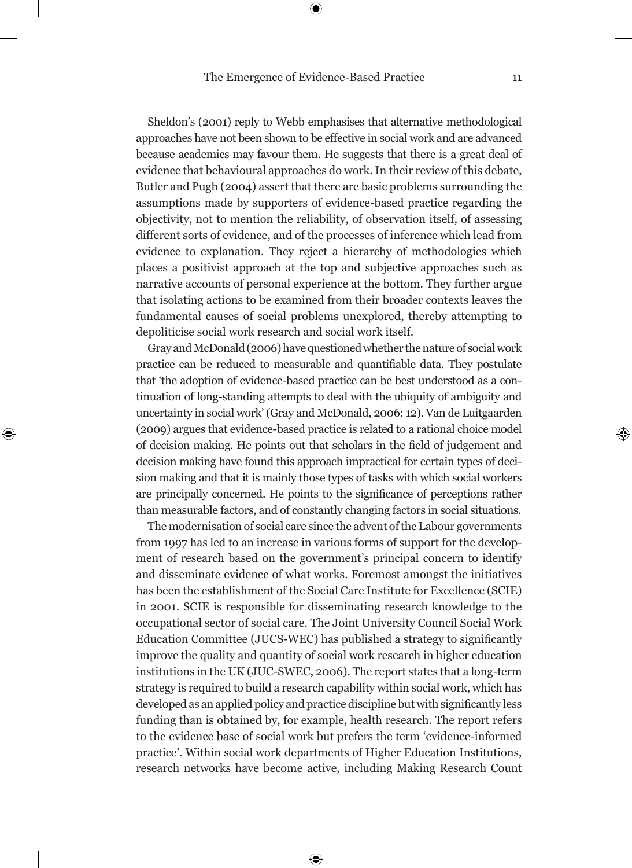$\bigoplus$ 

Sheldon's (2001) reply to Webb emphasises that alternative methodological approaches have not been shown to be effective in social work and are advanced because academics may favour them. He suggests that there is a great deal of evidence that behavioural approaches do work. In their review of this debate, Butler and Pugh (2004) assert that there are basic problems surrounding the assumptions made by supporters of evidence-based practice regarding the objectivity, not to mention the reliability, of observation itself, of assessing different sorts of evidence, and of the processes of inference which lead from evidence to explanation. They reject a hierarchy of methodologies which places a positivist approach at the top and subjective approaches such as narrative accounts of personal experience at the bottom. They further argue that isolating actions to be examined from their broader contexts leaves the fundamental causes of social problems unexplored, thereby attempting to depoliticise social work research and social work itself.

Gray and McDonald (2006) have questioned whether the nature of social work practice can be reduced to measurable and quantifiable data. They postulate that 'the adoption of evidence-based practice can be best understood as a continuation of long-standing attempts to deal with the ubiquity of ambiguity and uncertainty in social work' (Gray and McDonald, 2006: 12). Van de Luitgaarden (2009) argues that evidence-based practice is related to a rational choice model of decision making. He points out that scholars in the field of judgement and decision making have found this approach impractical for certain types of decision making and that it is mainly those types of tasks with which social workers are principally concerned. He points to the significance of perceptions rather than measurable factors, and of constantly changing factors in social situations.

⊕

The modernisation of social care since the advent of the Labour governments from 1997 has led to an increase in various forms of support for the development of research based on the government's principal concern to identify and disseminate evidence of what works. Foremost amongst the initiatives has been the establishment of the Social Care Institute for Excellence (SCIE) in 2001. SCIE is responsible for disseminating research knowledge to the occupational sector of social care. The Joint University Council Social Work Education Committee (JUCS-WEC) has published a strategy to significantly improve the quality and quantity of social work research in higher education institutions in the UK (JUC-SWEC, 2006). The report states that a long-term strategy is required to build a research capability within social work, which has developed as an applied policy and practice discipline but with significantly less funding than is obtained by, for example, health research. The report refers to the evidence base of social work but prefers the term 'evidence-informed practice'. Within social work departments of Higher Education Institutions, research networks have become active, including Making Research Count

⊕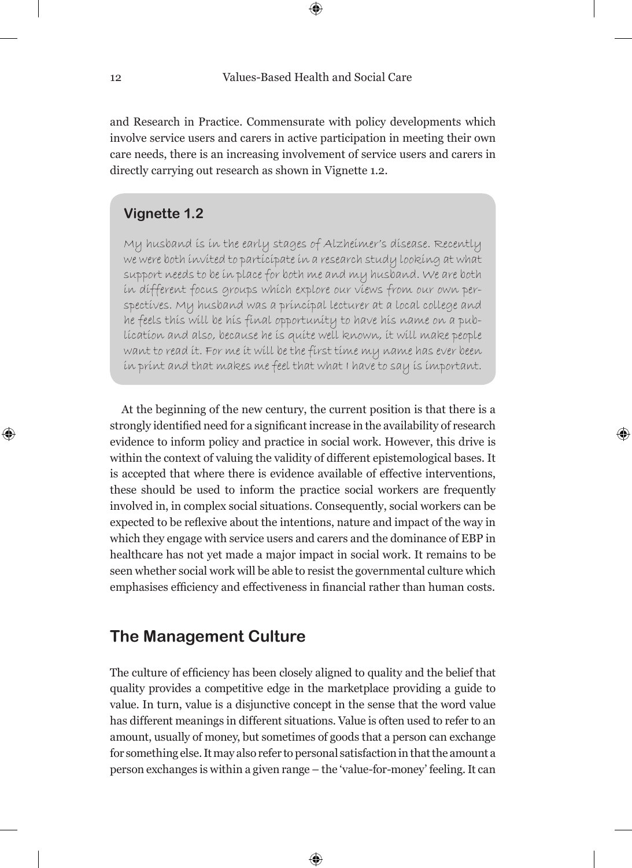and Research in Practice. Commensurate with policy developments which involve service users and carers in active participation in meeting their own care needs, there is an increasing involvement of service users and carers in directly carrying out research as shown in Vignette 1.2.

# **Vignette 1.2**

My husband is in the early stages of Alzheimer's disease. Recently we were both invited to participate in a research study looking at what support needs to be in place for both me and my husband. We are both in different focus groups which explore our views from our own perspectives. My husband was a principal lecturer at a local college and he feels this will be his final opportunity to have his name on a publication and also, because he is quite well known, it will make people want to read it. For me it will be the first time my name has ever been in print and that makes me feel that what I have to say is important.

At the beginning of the new century, the current position is that there is a strongly identified need for a significant increase in the availability of research evidence to inform policy and practice in social work. However, this drive is within the context of valuing the validity of different epistemological bases. It is accepted that where there is evidence available of effective interventions, these should be used to inform the practice social workers are frequently involved in, in complex social situations. Consequently, social workers can be expected to be reflexive about the intentions, nature and impact of the way in which they engage with service users and carers and the dominance of EBP in healthcare has not yet made a major impact in social work. It remains to be seen whether social work will be able to resist the governmental culture which emphasises efficiency and effectiveness in financial rather than human costs.

⊕

# **The Management Culture**

The culture of efficiency has been closely aligned to quality and the belief that quality provides a competitive edge in the marketplace providing a guide to value. In turn, value is a disjunctive concept in the sense that the word value has different meanings in different situations. Value is often used to refer to an amount, usually of money, but sometimes of goods that a person can exchange for something else. It may also refer to personal satisfaction in that the amount a person exchanges is within a given range – the 'value-for-money' feeling. It can

♠

♠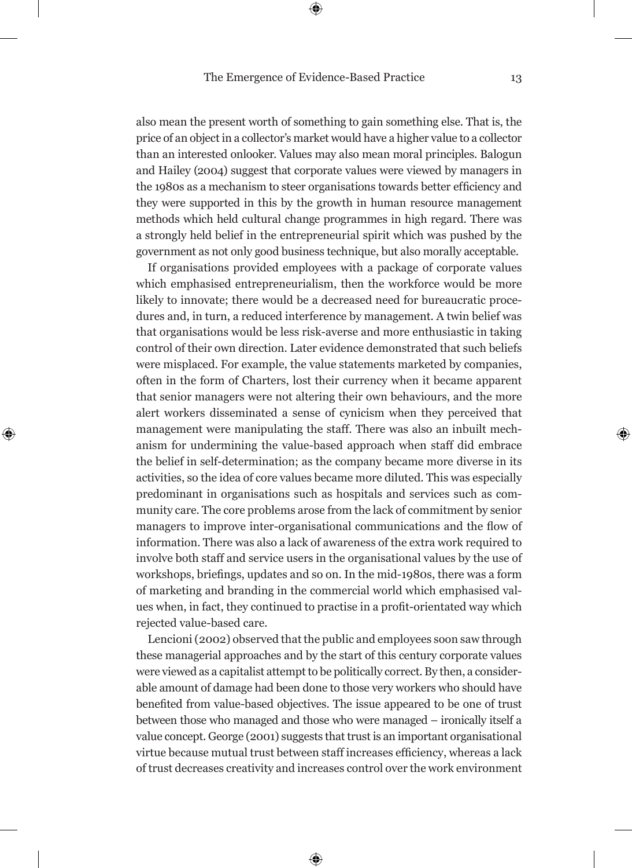also mean the present worth of something to gain something else. That is, the price of an object in a collector's market would have a higher value to a collector than an interested onlooker. Values may also mean moral principles. Balogun and Hailey (2004) suggest that corporate values were viewed by managers in the 1980s as a mechanism to steer organisations towards better efficiency and they were supported in this by the growth in human resource management methods which held cultural change programmes in high regard. There was a strongly held belief in the entrepreneurial spirit which was pushed by the government as not only good business technique, but also morally acceptable.

If organisations provided employees with a package of corporate values which emphasised entrepreneurialism, then the workforce would be more likely to innovate; there would be a decreased need for bureaucratic procedures and, in turn, a reduced interference by management. A twin belief was that organisations would be less risk-averse and more enthusiastic in taking control of their own direction. Later evidence demonstrated that such beliefs were misplaced. For example, the value statements marketed by companies, often in the form of Charters, lost their currency when it became apparent that senior managers were not altering their own behaviours, and the more alert workers disseminated a sense of cynicism when they perceived that management were manipulating the staff. There was also an inbuilt mechanism for undermining the value-based approach when staff did embrace the belief in self-determination; as the company became more diverse in its activities, so the idea of core values became more diluted. This was especially predominant in organisations such as hospitals and services such as community care. The core problems arose from the lack of commitment by senior managers to improve inter-organisational communications and the flow of information. There was also a lack of awareness of the extra work required to involve both staff and service users in the organisational values by the use of workshops, briefings, updates and so on. In the mid-1980s, there was a form of marketing and branding in the commercial world which emphasised values when, in fact, they continued to practise in a profit-orientated way which rejected value-based care.

♠

Lencioni (2002) observed that the public and employees soon saw through these managerial approaches and by the start of this century corporate values were viewed as a capitalist attempt to be politically correct. By then, a considerable amount of damage had been done to those very workers who should have benefited from value-based objectives. The issue appeared to be one of trust between those who managed and those who were managed – ironically itself a value concept. George (2001) suggests that trust is an important organisational virtue because mutual trust between staff increases efficiency, whereas a lack of trust decreases creativity and increases control over the work environment

⊕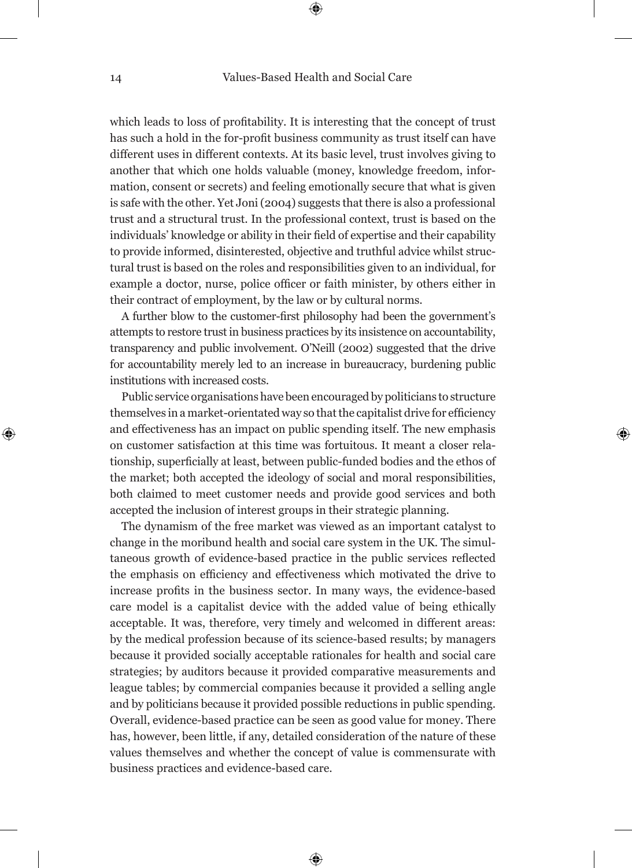which leads to loss of profitability. It is interesting that the concept of trust has such a hold in the for-profit business community as trust itself can have different uses in different contexts. At its basic level, trust involves giving to another that which one holds valuable (money, knowledge freedom, information, consent or secrets) and feeling emotionally secure that what is given is safe with the other. Yet Joni (2004) suggests that there is also a professional trust and a structural trust. In the professional context, trust is based on the individuals' knowledge or ability in their field of expertise and their capability to provide informed, disinterested, objective and truthful advice whilst structural trust is based on the roles and responsibilities given to an individual, for example a doctor, nurse, police officer or faith minister, by others either in their contract of employment, by the law or by cultural norms.

A further blow to the customer-first philosophy had been the government's attempts to restore trust in business practices by its insistence on accountability, transparency and public involvement. O'Neill (2002) suggested that the drive for accountability merely led to an increase in bureaucracy, burdening public institutions with increased costs.

Public service organisations have been encouraged by politicians to structure themselves in a market-orientated way so that the capitalist drive for efficiency and effectiveness has an impact on public spending itself. The new emphasis on customer satisfaction at this time was fortuitous. It meant a closer relationship, superficially at least, between public-funded bodies and the ethos of the market; both accepted the ideology of social and moral responsibilities, both claimed to meet customer needs and provide good services and both accepted the inclusion of interest groups in their strategic planning.

⊕

The dynamism of the free market was viewed as an important catalyst to change in the moribund health and social care system in the UK. The simultaneous growth of evidence-based practice in the public services reflected the emphasis on efficiency and effectiveness which motivated the drive to increase profits in the business sector. In many ways, the evidence-based care model is a capitalist device with the added value of being ethically acceptable. It was, therefore, very timely and welcomed in different areas: by the medical profession because of its science-based results; by managers because it provided socially acceptable rationales for health and social care strategies; by auditors because it provided comparative measurements and league tables; by commercial companies because it provided a selling angle and by politicians because it provided possible reductions in public spending. Overall, evidence-based practice can be seen as good value for money. There has, however, been little, if any, detailed consideration of the nature of these values themselves and whether the concept of value is commensurate with business practices and evidence-based care.

⊕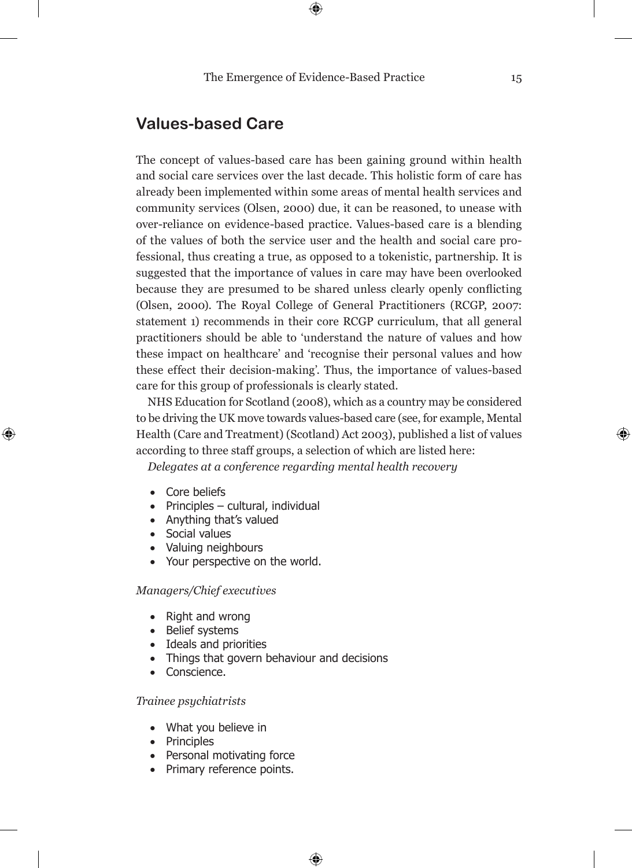# **Values-based Care**

The concept of values-based care has been gaining ground within health and social care services over the last decade. This holistic form of care has already been implemented within some areas of mental health services and community services (Olsen, 2000) due, it can be reasoned, to unease with over-reliance on evidence-based practice. Values-based care is a blending of the values of both the service user and the health and social care professional, thus creating a true, as opposed to a tokenistic, partnership. It is suggested that the importance of values in care may have been overlooked because they are presumed to be shared unless clearly openly conflicting (Olsen, 2000). The Royal College of General Practitioners (RCGP, 2007: statement 1) recommends in their core RCGP curriculum, that all general practitioners should be able to 'understand the nature of values and how these impact on healthcare' and 'recognise their personal values and how these effect their decision-making'. Thus, the importance of values-based care for this group of professionals is clearly stated.

NHS Education for Scotland (2008), which as a country may be considered to be driving the UK move towards values-based care (see, for example, Mental Health (Care and Treatment) (Scotland) Act 2003), published a list of values according to three staff groups, a selection of which are listed here:

*Delegates at a conference regarding mental health recovery*

• Core beliefs

⊕

- Principles cultural, individual
- Anything that's valued
- Social values
- Valuing neighbours
- Your perspective on the world.

#### *Managers/Chief executives*

- Right and wrong
- Belief systems
- Ideals and priorities
- Things that govern behaviour and decisions

⊕

• Conscience.

### *Trainee psychiatrists*

- What you believe in
- Principles
- Personal motivating force
- Primary reference points.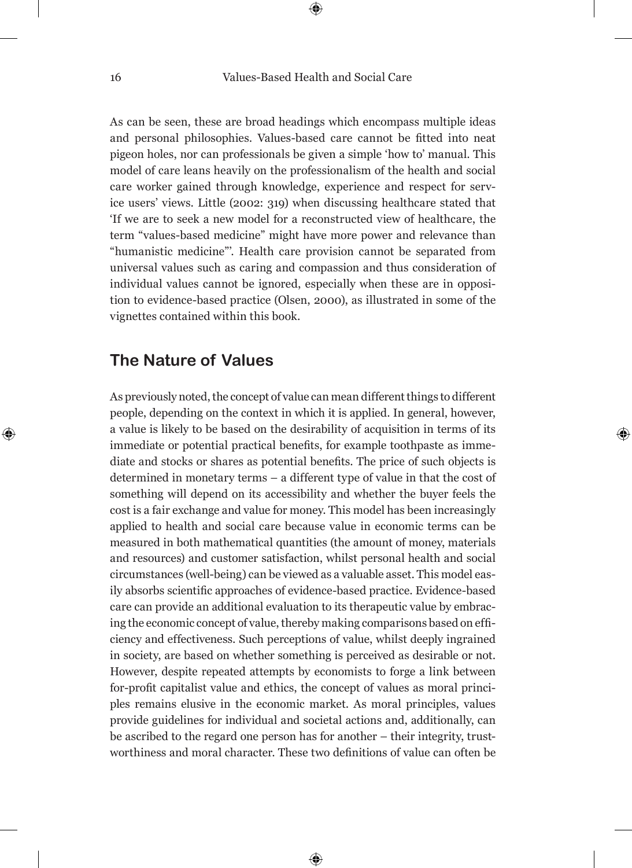$\bigoplus$ 

As can be seen, these are broad headings which encompass multiple ideas and personal philosophies. Values-based care cannot be fitted into neat pigeon holes, nor can professionals be given a simple 'how to' manual. This model of care leans heavily on the professionalism of the health and social care worker gained through knowledge, experience and respect for service users' views. Little (2002: 319) when discussing healthcare stated that 'If we are to seek a new model for a reconstructed view of healthcare, the term "values-based medicine" might have more power and relevance than "humanistic medicine"'. Health care provision cannot be separated from universal values such as caring and compassion and thus consideration of individual values cannot be ignored, especially when these are in opposition to evidence-based practice (Olsen, 2000), as illustrated in some of the vignettes contained within this book.

# **The Nature of Values**

As previously noted, the concept of value can mean different things to different people, depending on the context in which it is applied. In general, however, a value is likely to be based on the desirability of acquisition in terms of its immediate or potential practical benefits, for example toothpaste as immediate and stocks or shares as potential benefits. The price of such objects is determined in monetary terms – a different type of value in that the cost of something will depend on its accessibility and whether the buyer feels the cost is a fair exchange and value for money. This model has been increasingly applied to health and social care because value in economic terms can be measured in both mathematical quantities (the amount of money, materials and resources) and customer satisfaction, whilst personal health and social circumstances (well-being) can be viewed as a valuable asset. This model easily absorbs scientific approaches of evidence-based practice. Evidence-based care can provide an additional evaluation to its therapeutic value by embracing the economic concept of value, thereby making comparisons based on efficiency and effectiveness. Such perceptions of value, whilst deeply ingrained in society, are based on whether something is perceived as desirable or not. However, despite repeated attempts by economists to forge a link between for-profit capitalist value and ethics, the concept of values as moral principles remains elusive in the economic market. As moral principles, values provide guidelines for individual and societal actions and, additionally, can be ascribed to the regard one person has for another – their integrity, trustworthiness and moral character. These two definitions of value can often be

⊕

⊕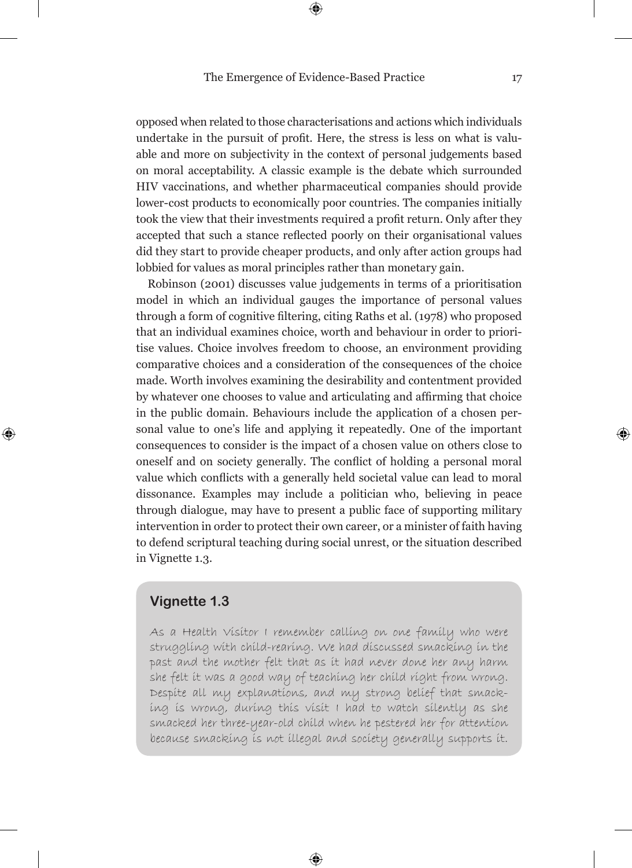opposed when related to those characterisations and actions which individuals undertake in the pursuit of profit. Here, the stress is less on what is valuable and more on subjectivity in the context of personal judgements based on moral acceptability. A classic example is the debate which surrounded HIV vaccinations, and whether pharmaceutical companies should provide lower-cost products to economically poor countries. The companies initially took the view that their investments required a profit return. Only after they accepted that such a stance reflected poorly on their organisational values did they start to provide cheaper products, and only after action groups had lobbied for values as moral principles rather than monetary gain.

Robinson (2001) discusses value judgements in terms of a prioritisation model in which an individual gauges the importance of personal values through a form of cognitive filtering, citing Raths et al. (1978) who proposed that an individual examines choice, worth and behaviour in order to prioritise values. Choice involves freedom to choose, an environment providing comparative choices and a consideration of the consequences of the choice made. Worth involves examining the desirability and contentment provided by whatever one chooses to value and articulating and affirming that choice in the public domain. Behaviours include the application of a chosen personal value to one's life and applying it repeatedly. One of the important consequences to consider is the impact of a chosen value on others close to oneself and on society generally. The conflict of holding a personal moral value which conflicts with a generally held societal value can lead to moral dissonance. Examples may include a politician who, believing in peace through dialogue, may have to present a public face of supporting military intervention in order to protect their own career, or a minister of faith having to defend scriptural teaching during social unrest, or the situation described in Vignette 1.3.

# **Vignette 1.3**

⊕

As a Health Visitor I remember calling on one family who were struggling with child-rearing. We had discussed smacking in the past and the mother felt that as it had never done her any harm she felt it was a good way of teaching her child right from wrong. Despite all my explanations, and my strong belief that smacking is wrong, during this visit I had to watch silently as she smacked her three-year-old child when he pestered her for attention because smacking is not illegal and society generally supports it.

♠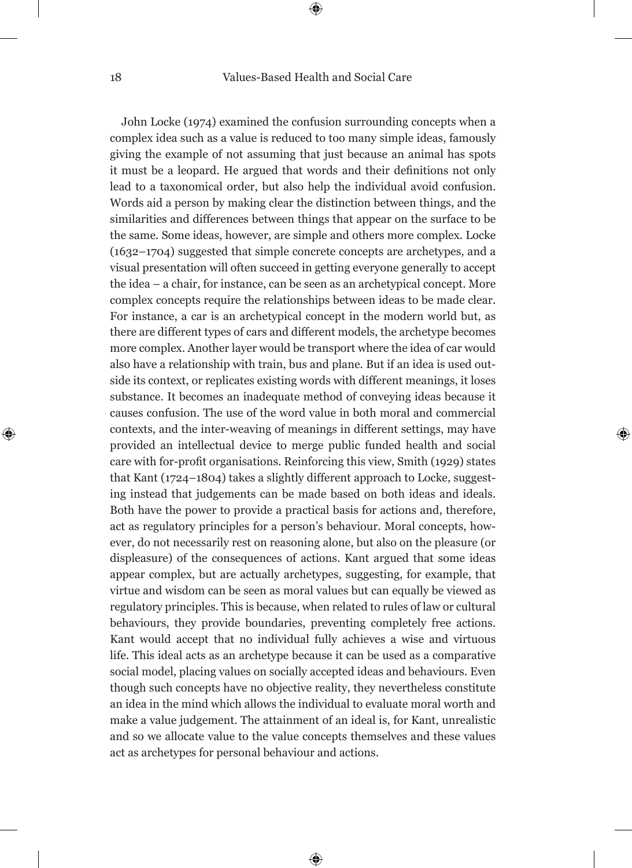$\bigoplus$ 

John Locke (1974) examined the confusion surrounding concepts when a complex idea such as a value is reduced to too many simple ideas, famously giving the example of not assuming that just because an animal has spots it must be a leopard. He argued that words and their definitions not only lead to a taxonomical order, but also help the individual avoid confusion. Words aid a person by making clear the distinction between things, and the similarities and differences between things that appear on the surface to be the same. Some ideas, however, are simple and others more complex. Locke (1632–1704) suggested that simple concrete concepts are archetypes, and a visual presentation will often succeed in getting everyone generally to accept the idea – a chair, for instance, can be seen as an archetypical concept. More complex concepts require the relationships between ideas to be made clear. For instance, a car is an archetypical concept in the modern world but, as there are different types of cars and different models, the archetype becomes more complex. Another layer would be transport where the idea of car would also have a relationship with train, bus and plane*.* But if an idea is used outside its context, or replicates existing words with different meanings, it loses substance. It becomes an inadequate method of conveying ideas because it causes confusion. The use of the word value in both moral and commercial contexts, and the inter-weaving of meanings in different settings, may have provided an intellectual device to merge public funded health and social care with for-profit organisations. Reinforcing this view, Smith (1929) states that Kant (1724–1804) takes a slightly different approach to Locke, suggesting instead that judgements can be made based on both ideas and ideals. Both have the power to provide a practical basis for actions and, therefore, act as regulatory principles for a person's behaviour. Moral concepts, however, do not necessarily rest on reasoning alone, but also on the pleasure (or displeasure) of the consequences of actions. Kant argued that some ideas appear complex, but are actually archetypes, suggesting, for example, that virtue and wisdom can be seen as moral values but can equally be viewed as regulatory principles. This is because, when related to rules of law or cultural behaviours, they provide boundaries, preventing completely free actions. Kant would accept that no individual fully achieves a wise and virtuous life. This ideal acts as an archetype because it can be used as a comparative social model, placing values on socially accepted ideas and behaviours. Even though such concepts have no objective reality, they nevertheless constitute an idea in the mind which allows the individual to evaluate moral worth and make a value judgement. The attainment of an ideal is, for Kant, unrealistic and so we allocate value to the value concepts themselves and these values act as archetypes for personal behaviour and actions.

⊕

⊕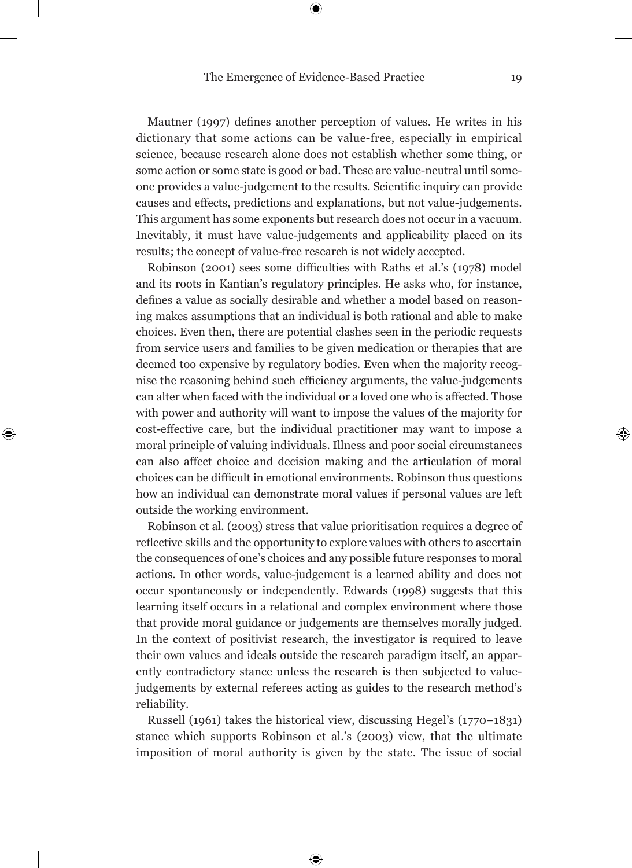$\bigoplus$ 

Mautner (1997) defines another perception of values. He writes in his dictionary that some actions can be value-free, especially in empirical science, because research alone does not establish whether some thing, or some action or some state is good or bad. These are value-neutral until someone provides a value-judgement to the results. Scientific inquiry can provide causes and effects, predictions and explanations, but not value-judgements. This argument has some exponents but research does not occur in a vacuum. Inevitably, it must have value-judgements and applicability placed on its results; the concept of value-free research is not widely accepted.

Robinson (2001) sees some difficulties with Raths et al.'s (1978) model and its roots in Kantian's regulatory principles. He asks who, for instance, defines a value as socially desirable and whether a model based on reasoning makes assumptions that an individual is both rational and able to make choices. Even then, there are potential clashes seen in the periodic requests from service users and families to be given medication or therapies that are deemed too expensive by regulatory bodies. Even when the majority recognise the reasoning behind such efficiency arguments, the value-judgements can alter when faced with the individual or a loved one who is affected. Those with power and authority will want to impose the values of the majority for cost-effective care, but the individual practitioner may want to impose a moral principle of valuing individuals. Illness and poor social circumstances can also affect choice and decision making and the articulation of moral choices can be difficult in emotional environments. Robinson thus questions how an individual can demonstrate moral values if personal values are left outside the working environment.

⊕

Robinson et al. (2003) stress that value prioritisation requires a degree of reflective skills and the opportunity to explore values with others to ascertain the consequences of one's choices and any possible future responses to moral actions. In other words, value-judgement is a learned ability and does not occur spontaneously or independently. Edwards (1998) suggests that this learning itself occurs in a relational and complex environment where those that provide moral guidance or judgements are themselves morally judged. In the context of positivist research, the investigator is required to leave their own values and ideals outside the research paradigm itself, an apparently contradictory stance unless the research is then subjected to valuejudgements by external referees acting as guides to the research method's reliability.

Russell (1961) takes the historical view, discussing Hegel's (1770–1831) stance which supports Robinson et al.'s (2003) view, that the ultimate imposition of moral authority is given by the state. The issue of social

◈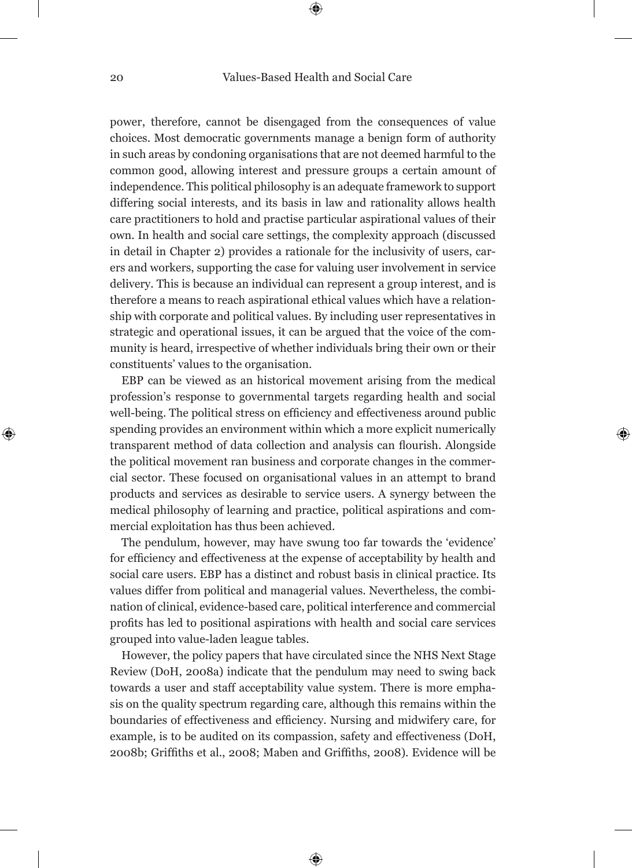$\bigoplus$ 

power, therefore, cannot be disengaged from the consequences of value choices. Most democratic governments manage a benign form of authority in such areas by condoning organisations that are not deemed harmful to the common good, allowing interest and pressure groups a certain amount of independence. This political philosophy is an adequate framework to support differing social interests, and its basis in law and rationality allows health care practitioners to hold and practise particular aspirational values of their own. In health and social care settings, the complexity approach (discussed in detail in Chapter 2) provides a rationale for the inclusivity of users, carers and workers, supporting the case for valuing user involvement in service delivery. This is because an individual can represent a group interest, and is therefore a means to reach aspirational ethical values which have a relationship with corporate and political values. By including user representatives in strategic and operational issues, it can be argued that the voice of the community is heard, irrespective of whether individuals bring their own or their constituents' values to the organisation.

EBP can be viewed as an historical movement arising from the medical profession's response to governmental targets regarding health and social well-being. The political stress on efficiency and effectiveness around public spending provides an environment within which a more explicit numerically transparent method of data collection and analysis can flourish. Alongside the political movement ran business and corporate changes in the commercial sector. These focused on organisational values in an attempt to brand products and services as desirable to service users. A synergy between the medical philosophy of learning and practice, political aspirations and commercial exploitation has thus been achieved.

⊕

The pendulum, however, may have swung too far towards the 'evidence' for efficiency and effectiveness at the expense of acceptability by health and social care users. EBP has a distinct and robust basis in clinical practice. Its values differ from political and managerial values. Nevertheless, the combination of clinical, evidence-based care, political interference and commercial profits has led to positional aspirations with health and social care services grouped into value-laden league tables.

However, the policy papers that have circulated since the NHS Next Stage Review (DoH, 2008a) indicate that the pendulum may need to swing back towards a user and staff acceptability value system. There is more emphasis on the quality spectrum regarding care, although this remains within the boundaries of effectiveness and efficiency. Nursing and midwifery care, for example, is to be audited on its compassion, safety and effectiveness (DoH, 2008b; Griffiths et al., 2008; Maben and Griffiths, 2008). Evidence will be

⊕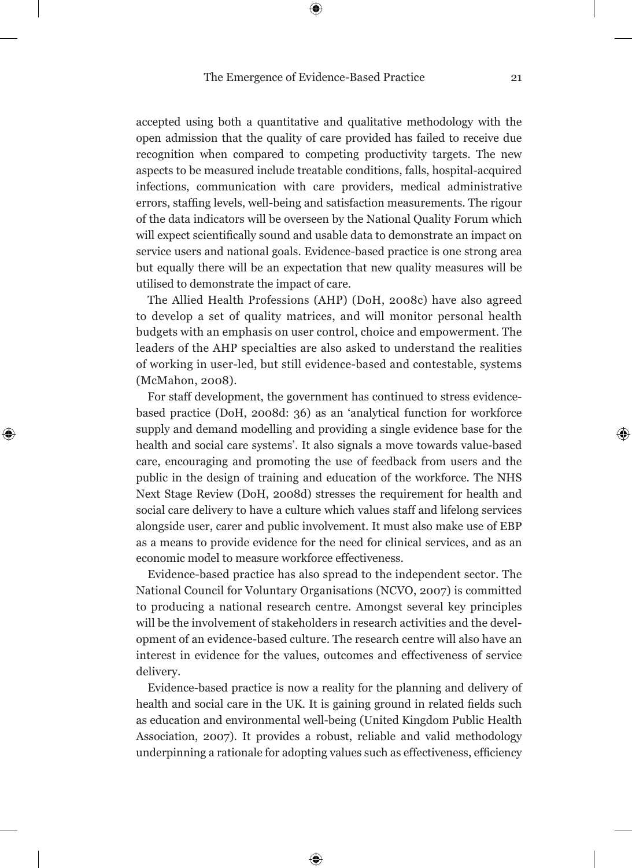$\bigoplus$ 

accepted using both a quantitative and qualitative methodology with the open admission that the quality of care provided has failed to receive due recognition when compared to competing productivity targets. The new aspects to be measured include treatable conditions, falls, hospital-acquired infections, communication with care providers, medical administrative errors, staffing levels, well-being and satisfaction measurements. The rigour of the data indicators will be overseen by the National Quality Forum which will expect scientifically sound and usable data to demonstrate an impact on service users and national goals. Evidence-based practice is one strong area but equally there will be an expectation that new quality measures will be utilised to demonstrate the impact of care.

The Allied Health Professions (AHP) (DoH, 2008c) have also agreed to develop a set of quality matrices, and will monitor personal health budgets with an emphasis on user control, choice and empowerment. The leaders of the AHP specialties are also asked to understand the realities of working in user-led, but still evidence-based and contestable, systems (McMahon, 2008).

For staff development, the government has continued to stress evidencebased practice (DoH, 2008d: 36) as an 'analytical function for workforce supply and demand modelling and providing a single evidence base for the health and social care systems'. It also signals a move towards value-based care, encouraging and promoting the use of feedback from users and the public in the design of training and education of the workforce. The NHS Next Stage Review (DoH, 2008d) stresses the requirement for health and social care delivery to have a culture which values staff and lifelong services alongside user, carer and public involvement. It must also make use of EBP as a means to provide evidence for the need for clinical services, and as an economic model to measure workforce effectiveness.

♠

Evidence-based practice has also spread to the independent sector. The National Council for Voluntary Organisations (NCVO, 2007) is committed to producing a national research centre. Amongst several key principles will be the involvement of stakeholders in research activities and the development of an evidence-based culture. The research centre will also have an interest in evidence for the values, outcomes and effectiveness of service delivery.

Evidence-based practice is now a reality for the planning and delivery of health and social care in the UK. It is gaining ground in related fields such as education and environmental well-being (United Kingdom Public Health Association, 2007). It provides a robust, reliable and valid methodology underpinning a rationale for adopting values such as effectiveness, efficiency

⊕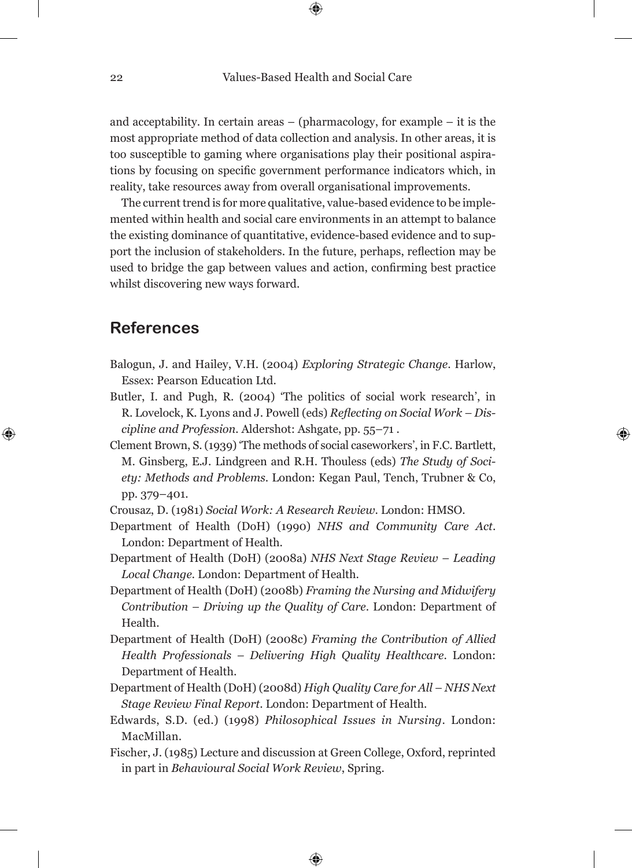$\textcircled{\scriptsize{*}}$ 

and acceptability. In certain areas – (pharmacology, for example – it is the most appropriate method of data collection and analysis. In other areas, it is too susceptible to gaming where organisations play their positional aspirations by focusing on specific government performance indicators which, in reality, take resources away from overall organisational improvements.

The current trend is for more qualitative, value-based evidence to be implemented within health and social care environments in an attempt to balance the existing dominance of quantitative, evidence-based evidence and to support the inclusion of stakeholders. In the future, perhaps, reflection may be used to bridge the gap between values and action, confirming best practice whilst discovering new ways forward.

# **References**

⊕

- Balogun, J. and Hailey, V.H. (2004) *Exploring Strategic Change*. Harlow, Essex: Pearson Education Ltd.
- Butler, I. and Pugh, R. (2004) 'The politics of social work research', in R. Lovelock, K. Lyons and J. Powell (eds) *Reflecting on Social Work – Discipline and Profession.* Aldershot: Ashgate, pp. 55–71 .

⊕

- Clement Brown, S. (1939) 'The methods of social caseworkers', in F.C. Bartlett, M. Ginsberg, E.J. Lindgreen and R.H. Thouless (eds) *The Study of Society: Methods and Problems*. London: Kegan Paul, Tench, Trubner & Co, pp. 379–401.
- Crousaz, D. (1981) *Social Work: A Research Review*. London: HMSO.
- Department of Health (DoH) (1990) *NHS and Community Care Act*. London: Department of Health.
- Department of Health (DoH) (2008a) *NHS Next Stage Review Leading Local Change.* London: Department of Health.
- Department of Health (DoH) (2008b) *Framing the Nursing and Midwifery Contribution – Driving up the Quality of Care*. London: Department of Health.
- Department of Health (DoH) (2008c) *Framing the Contribution of Allied Health Professionals – Delivering High Quality Healthcare*. London: Department of Health.
- Department of Health (DoH) (2008d) *High Quality Care for All NHS Next Stage Review Final Report*. London: Department of Health.
- Edwards, S.D. (ed.) (1998) *Philosophical Issues in Nursing*. London: MacMillan.
- Fischer, J. (1985) Lecture and discussion at Green College, Oxford, reprinted in part in *Behavioural Social Work Review*, Spring.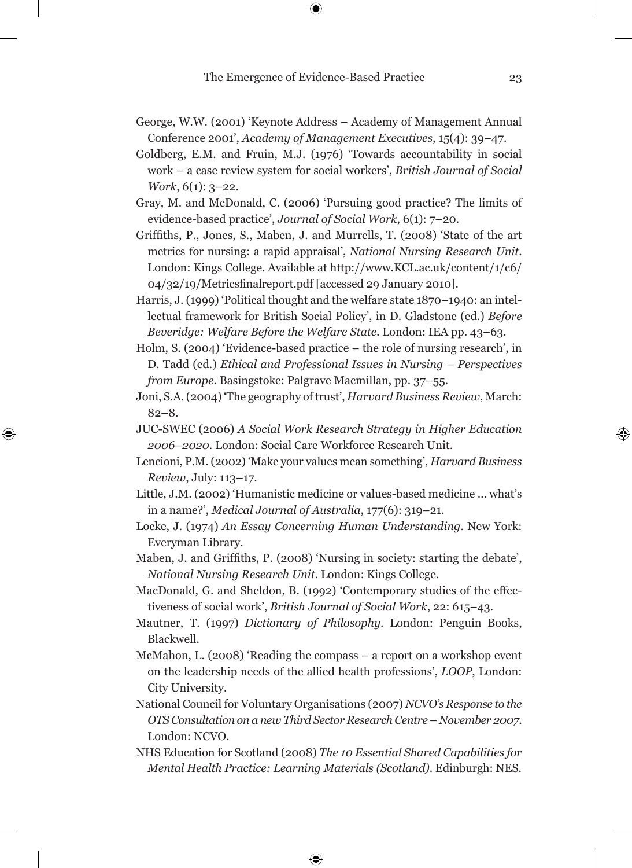$\textcircled{\scriptsize{*}}$ 

- George, W.W. (2001) 'Keynote Address Academy of Management Annual Conference 2001', *Academy of Management Executives*, 15(4): 39–47.
- Goldberg, E.M. and Fruin, M.J. (1976) 'Towards accountability in social work – a case review system for social workers', *British Journal of Social Work*, 6(1): 3–22.
- Gray, M. and McDonald, C. (2006) 'Pursuing good practice? The limits of evidence-based practice', *Journal of Social Work*, 6(1): 7–20.
- Griffiths, P., Jones, S., Maben, J. and Murrells, T. (2008) 'State of the art metrics for nursing: a rapid appraisal', *National Nursing Research Unit*. London: Kings College. Available at http://www.KCL.ac.uk/content/1/c6/ 04/32/19/Metricsfinalreport.pdf [accessed 29 January 2010].
- Harris, J. (1999) 'Political thought and the welfare state 1870–1940: an intellectual framework for British Social Policy', in D. Gladstone (ed.) *Before Beveridge: Welfare Before the Welfare State.* London: IEA pp. 43–63.
- Holm, S. (2004) 'Evidence-based practice the role of nursing research', in D. Tadd (ed.) *Ethical and Professional Issues in Nursing – Perspectives from Europe*. Basingstoke: Palgrave Macmillan, pp. 37–55.
- Joni, S.A. (2004) 'The geography of trust', *Harvard Business Review*, March: 82–8.
- JUC-SWEC (2006) *A Social Work Research Strategy in Higher Education 2006–2020*. London: Social Care Workforce Research Unit.

⊕

- Lencioni, P.M. (2002) 'Make your values mean something', *Harvard Business Review*, July: 113–17.
- Little, J.M. (2002) 'Humanistic medicine or values-based medicine … what's in a name?', *Medical Journal of Australia*, 177(6): 319–21.
- Locke, J. (1974) *An Essay Concerning Human Understanding*. New York: Everyman Library.
- Maben, J. and Griffiths, P. (2008) 'Nursing in society: starting the debate', *National Nursing Research Unit*. London: Kings College.
- MacDonald, G. and Sheldon, B. (1992) 'Contemporary studies of the effectiveness of social work', *British Journal of Social Work*, 22: 615–43.
- Mautner, T. (1997) *Dictionary of Philosophy*. London: Penguin Books, Blackwell.
- McMahon, L. (2008) 'Reading the compass a report on a workshop event on the leadership needs of the allied health professions', *LOOP*, London: City University.
- National Council for Voluntary Organisations (2007) *NCVO's Response to the OTS Consultation on a new Third Sector Research Centre – November 2007*. London: NCVO.
- NHS Education for Scotland (2008) *The 10 Essential Shared Capabilities for Mental Health Practice: Learning Materials (Scotland)*. Edinburgh: NES.

◈